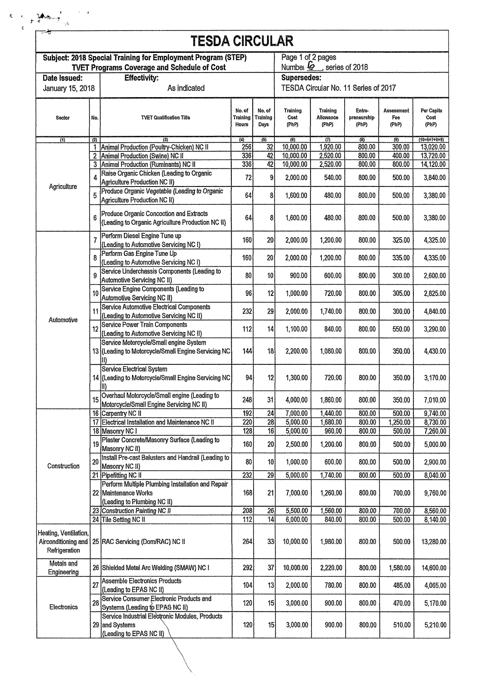|                                                    |                | <b>TESDA CIRCULAR</b>                                                                                    |                             |                            |                                       |                                |                                |                                                                                                                                                                                                                                                                                                                                                                                                                                                                              |                      |  |
|----------------------------------------------------|----------------|----------------------------------------------------------------------------------------------------------|-----------------------------|----------------------------|---------------------------------------|--------------------------------|--------------------------------|------------------------------------------------------------------------------------------------------------------------------------------------------------------------------------------------------------------------------------------------------------------------------------------------------------------------------------------------------------------------------------------------------------------------------------------------------------------------------|----------------------|--|
|                                                    |                | Subject: 2018 Special Training for Employment Program (STEP)                                             |                             |                            | Page 1 of 2 pages                     |                                |                                |                                                                                                                                                                                                                                                                                                                                                                                                                                                                              |                      |  |
| <b>TVET Programs Coverage and Schedule of Cost</b> |                |                                                                                                          |                             |                            | Number $\mathcal{L}$ , series of 2018 |                                |                                |                                                                                                                                                                                                                                                                                                                                                                                                                                                                              |                      |  |
| Date Issued:<br><b>Effectivity:</b>                |                |                                                                                                          |                             | Supersedes:                |                                       |                                |                                |                                                                                                                                                                                                                                                                                                                                                                                                                                                                              |                      |  |
| January 15, 2018                                   |                | As indicated                                                                                             |                             |                            | TESDA Circular No. 11 Series of 2017  |                                |                                |                                                                                                                                                                                                                                                                                                                                                                                                                                                                              |                      |  |
| Sector                                             | No.            | <b>TVET Qualification Title</b>                                                                          | No. of<br>Training<br>Hours | No. of<br>Training<br>Days | Training<br>Cost<br>(PhP)             | Training<br>Allowance<br>(PhP) | Entre-<br>preneurship<br>(PhP) | Assessment<br>Fee<br>(PhP)                                                                                                                                                                                                                                                                                                                                                                                                                                                   | Per Capita           |  |
| $\overline{(4)}$                                   | (2)            | (3)                                                                                                      | $\langle 4 \rangle$         | (5)                        | (6)                                   | (7)                            | (3)                            | (9)                                                                                                                                                                                                                                                                                                                                                                                                                                                                          | $(10=6+7+8+9)$       |  |
|                                                    |                | Animal Production (Poultry-Chicken) NC II                                                                | 256                         | 32                         | 10,000.00                             | 1,920.00                       | 800.00                         | 300.00                                                                                                                                                                                                                                                                                                                                                                                                                                                                       | 13,020.00            |  |
|                                                    | $\overline{a}$ | Animal Production (Swine) NC II                                                                          | 336                         | 42                         | 10,000.00                             | 2,520.00                       | 800.00                         | 400.00                                                                                                                                                                                                                                                                                                                                                                                                                                                                       | 13,720.00            |  |
|                                                    | 3              | Animal Production (Ruminants) NC II                                                                      | 336                         | 42                         | 10,000.00                             | 2,520.00                       | 800.00                         | 800.00                                                                                                                                                                                                                                                                                                                                                                                                                                                                       | 14,120.00            |  |
|                                                    | 4              | Raise Organic Chicken (Leading to Organic<br>Agriculture Production NC II)                               | 72                          | 9 <sub>l</sub>             | 2,000.00                              | 540.00                         | 800.00                         | 500.00                                                                                                                                                                                                                                                                                                                                                                                                                                                                       |                      |  |
| Agriculture                                        | 5              | Produce Organic Vegetable (Leading to Organic<br>Agriculture Production NC II)                           | 64                          | 8                          | 1,600.00                              | 480.00                         | 800.00                         | 500.00                                                                                                                                                                                                                                                                                                                                                                                                                                                                       |                      |  |
|                                                    | 6              | Produce Organic Concoction and Extracts                                                                  | 64                          | 8                          | 1,600.00                              | 480.00                         |                                |                                                                                                                                                                                                                                                                                                                                                                                                                                                                              |                      |  |
|                                                    |                | (Leading to Organic Agriculture Production NC II)<br>Perform Diesel Engine Tune up                       |                             |                            |                                       |                                |                                | 800.00<br>500.00<br>800.00<br>325.00<br>800.00<br>335.00<br>800.00<br>300.00<br>800.00<br>305.00<br>800.00<br>300.00<br>800.00<br>550.00<br>350.00<br>800.00<br>800.00<br>350.00<br>800.00<br>350.00<br>800.00<br>500.00<br>1,250.00<br>800.00<br>800.00<br>500.00<br>800.00<br>500.00<br>800.00<br>500.00<br>800.00<br>500.00<br>800.00<br>700.00<br>800.00<br>700.00<br>800.00<br>500.00<br>800.00<br>500.00<br>800.00<br>1,580.00<br>800.00<br>485.00<br>800.00<br>470.00 | 3,380.00<br>4,325.00 |  |
|                                                    | $\overline{7}$ | (Leading to Automotive Servicing NC I)<br>Perform Gas Engine Tune Up                                     | 160                         | 20 <sub>1</sub>            | 2,000.00                              | 1,200.00                       |                                |                                                                                                                                                                                                                                                                                                                                                                                                                                                                              |                      |  |
|                                                    | 8              | (Leading to Automotive Servicing NC I)<br>Service Underchassis Components (Leading to                    | 160                         | 20                         | 2,000.00                              | 1,200.00                       |                                |                                                                                                                                                                                                                                                                                                                                                                                                                                                                              |                      |  |
|                                                    | 9              | Automotive Servicing NC II)                                                                              | 80                          | 10                         | 900.00                                | 600.00                         |                                |                                                                                                                                                                                                                                                                                                                                                                                                                                                                              |                      |  |
|                                                    | 10             | Service Engine Components (Leading to<br>Automotive Servicing NC II)                                     | 96                          | 12                         | 1,000.00                              | 720,00                         |                                |                                                                                                                                                                                                                                                                                                                                                                                                                                                                              |                      |  |
| Automotive                                         | 11             | Service Automotive Electrical Components<br>(Leading to Automotive Servicing NC II)                      | 232                         | 29                         | 2,000.00                              | 1,740.00                       |                                |                                                                                                                                                                                                                                                                                                                                                                                                                                                                              |                      |  |
|                                                    | 12             | Service Power Train Components<br>(Leading to Automotive Servicing NC II)                                | 112                         | 14                         | 1,100.00                              | 840.00                         |                                |                                                                                                                                                                                                                                                                                                                                                                                                                                                                              |                      |  |
|                                                    |                | Service Metercycle/Small engine System<br>13 (Leading to Motorcycle/Small Engine Servicing NC<br>II)     | 144                         | 18                         | 2,200.00                              | 1,080.00                       |                                |                                                                                                                                                                                                                                                                                                                                                                                                                                                                              |                      |  |
|                                                    |                | Service Electrical System<br>14 (Leading to Motorcycle/Small Engine Servicing NC)<br>II)                 | 94                          | 12                         | 1,300.00                              | 720.00                         |                                |                                                                                                                                                                                                                                                                                                                                                                                                                                                                              |                      |  |
|                                                    | 15             | Overhaul Motorcycle/Small engine (Leading to<br>Motorcycle/Small Engine Servicing NC II)                 | 248                         | 31                         | 4,000.00                              | 1,860.00                       |                                |                                                                                                                                                                                                                                                                                                                                                                                                                                                                              |                      |  |
|                                                    |                | 16 Carpentry NC II                                                                                       | 192                         | 24                         | 7,000.00                              | 1,440.00                       |                                |                                                                                                                                                                                                                                                                                                                                                                                                                                                                              |                      |  |
|                                                    |                | 17 Electrical Installation and Maintenance NC II                                                         | 220                         | 28                         | 5,000.00                              | 1,680.00                       |                                |                                                                                                                                                                                                                                                                                                                                                                                                                                                                              |                      |  |
|                                                    |                | 18 Masonry NC I                                                                                          | 128                         | 16                         | 5,000.00                              | 960.00                         |                                |                                                                                                                                                                                                                                                                                                                                                                                                                                                                              |                      |  |
|                                                    | 19             | Plaster Concrete/Masonry Surface (Leading to<br>Masonry NC II)                                           | 160                         | 20                         | 2,500.00                              | 1,200.00                       |                                |                                                                                                                                                                                                                                                                                                                                                                                                                                                                              |                      |  |
| Construction                                       | 20             | Install Pre-cast Balusters and Handrail (Leading to<br>Masonry NC II)                                    | 80                          | 10                         | 1,000.00                              | 600.00                         |                                |                                                                                                                                                                                                                                                                                                                                                                                                                                                                              |                      |  |
|                                                    |                | 21 Pipefitting NC II                                                                                     | $\overline{232}$            | 29                         | 5,000.00                              | 1,740.00                       |                                |                                                                                                                                                                                                                                                                                                                                                                                                                                                                              |                      |  |
|                                                    |                | Perform Multiple Plumbing Installation and Repair<br>22 Maintenance Works<br>(Leading to Plumbing NC II) | 168                         | 21                         | 7,000.00                              | 1,260.00                       |                                |                                                                                                                                                                                                                                                                                                                                                                                                                                                                              |                      |  |
|                                                    |                | 23 Construction Painting NC II                                                                           | 208                         | 26                         | 5,500.00                              | 1,560.00                       |                                |                                                                                                                                                                                                                                                                                                                                                                                                                                                                              |                      |  |
|                                                    |                | 24 Tile Setting NC II                                                                                    | 112                         | 14                         | 6,000.00                              | 840.00                         |                                |                                                                                                                                                                                                                                                                                                                                                                                                                                                                              |                      |  |
|                                                    |                |                                                                                                          |                             |                            |                                       |                                |                                |                                                                                                                                                                                                                                                                                                                                                                                                                                                                              |                      |  |
| Heating, Ventilation,<br>Refrigeration             |                | Airconditioning and 25 RAC Servicing (Dom/RAC) NC II                                                     | 264                         | 33                         | 10,000.00                             | 1,980.00                       |                                |                                                                                                                                                                                                                                                                                                                                                                                                                                                                              | 13,280.00            |  |
| Metals and<br>Engineering                          |                | 26 Shielded Metal Arc Welding (SMAW) NC I                                                                | 292                         | 37                         | 10,000.00                             | 2,220.00                       |                                |                                                                                                                                                                                                                                                                                                                                                                                                                                                                              | 14,600.00            |  |
|                                                    | 27             | Assemble Electronics Products<br>(Leading to EPAS NC II)                                                 | 104                         | 13                         | 2,000.00                              | 780.00                         |                                |                                                                                                                                                                                                                                                                                                                                                                                                                                                                              |                      |  |
|                                                    |                |                                                                                                          |                             |                            |                                       |                                |                                |                                                                                                                                                                                                                                                                                                                                                                                                                                                                              |                      |  |
| Electronics                                        | 28             | Service Consumer Electronic Products and<br>Systems (Leading to EPAS NC II)                              | 120                         | 15                         | 3,000.00                              | 900.00                         |                                |                                                                                                                                                                                                                                                                                                                                                                                                                                                                              |                      |  |